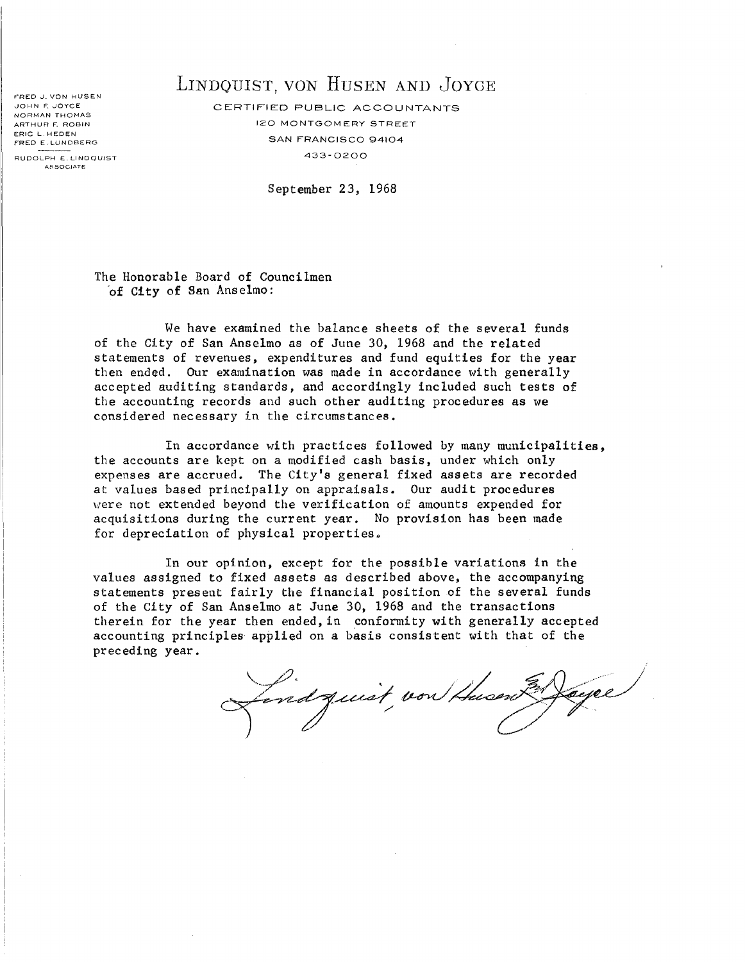FRED J. VON HUSEN JOHN F. JOYCE NORMAN THOMAS ARTHUR F. ROBIN ERIC L HEDEN FRED E LUNDBERG

#### RUDOLPH E. LINDQUIST ASSOCIATE

## LINDQUIST, VON HUSEN AND JOYCE

CERTIFIED PUBLIC ACCOUNTANTS 120 MONTGOM ERY STREET SAN FRANCISCO 94104 433- 0200

September 23, 1968

The Honorable Board of Councilmen 'of City of San Anselmo:

We have examined the balance sheets of the several funds of the City of San Anselmo as of June 30, 1968 and the related statements of revenues, expenditures and fund equities for the year then ended. Our examination was made in accordance with generally accepted auditing standards, and accordingly included such tests of the accounting records and such other auditing procedures as we considered necessary in the circumstances.

In accordance with practices followed by many municipalities, the accounts are kept on a modified cash basis, under which only expenses are accrued. The City's general fixed assets are recorded at values based principally on appraisals. Our audit procedures were not extended beyond the verification of amounts expended for acquisitions during the current year. No provision has been made for depreciation of physical properties.

In our opinion, except for the possible variations in the values assigned to fixed assets as described above, the accompanying statements present fairly the financial position of the several funds of the City of San Anselmo at June 30, 1968 and the transactions therein for the year then ended, in conformity with generally accepted accounting principles- applied on a basis consistent with that of the preceding year.

En Jayee Lindquist, von thusent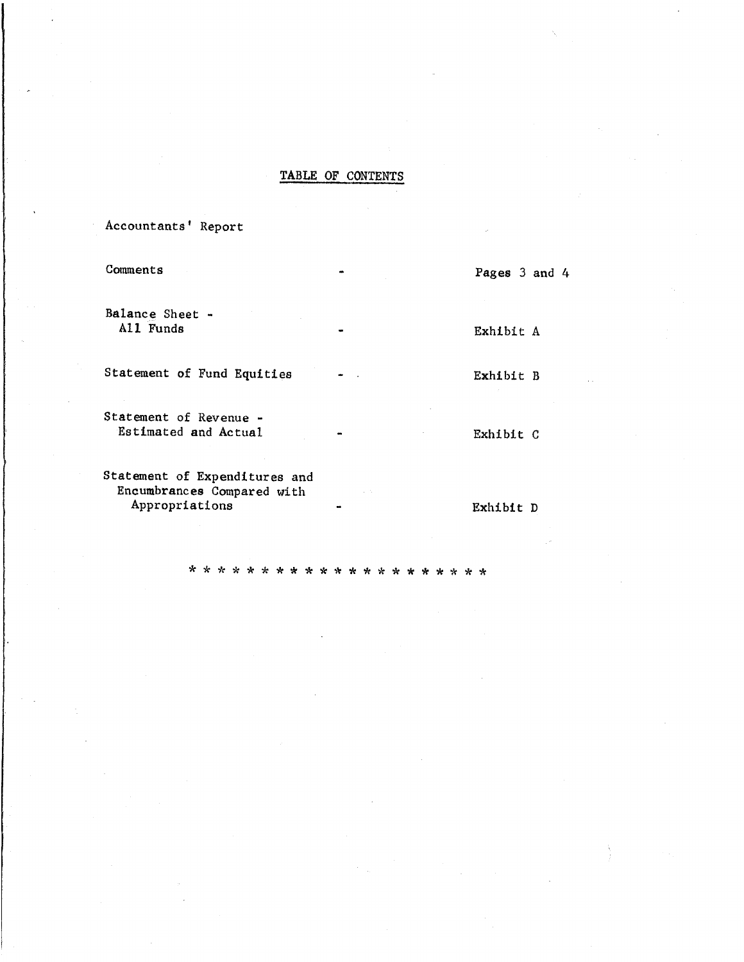#### TABLE OF CONTENTS

Accountants' Report

Comments Balance Sheet - All Funds Statement of Fund Equities Statement of Revenue - Estimated and Actual Statement of Expenditures and Encumbrances Compared with Appropriations Pages 3 and 4 Exhibit A Exhibit B Exhibit C Exhibit D

\* \* \* \* \* \* \* \* \* \* \* \* \* \* \* \* \* \* \* \* \*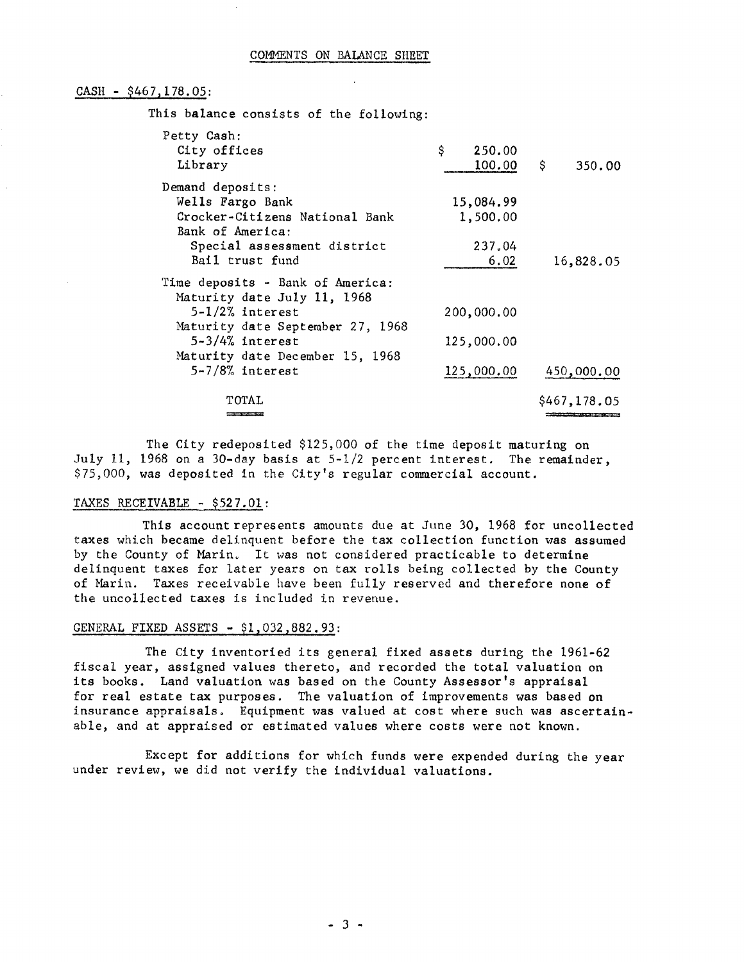#### CASH - \$467,178.05:

This balance consists of the following:

| Petty Cash:<br>City offices<br>Library                          | \$.<br>250.00<br>100.00 | $\ddot{\mathsf{s}}$<br>350.00 |
|-----------------------------------------------------------------|-------------------------|-------------------------------|
| Demand deposits:                                                |                         |                               |
| Wells Fargo Bank                                                | 15,084.99               |                               |
| Crocker-Citizens National Bank                                  | 1,500.00                |                               |
| Bank of America:                                                |                         |                               |
| Special assessment district                                     | 237.04                  |                               |
| Bail trust fund                                                 | 6.02                    | 16,828.05                     |
| Time deposits - Bank of America:<br>Maturity date July 11, 1968 |                         |                               |
| $5-1/2\%$ interest                                              | 200,000.00              |                               |
| Maturity date September 27, 1968                                |                         |                               |
| $5-3/4%$ interest                                               | 125,000.00              |                               |
| Maturity date December 15, 1968                                 |                         |                               |
| $5 - 7/8$ % interest                                            | 125,000.00              | 450,000.00                    |
| TOTAL                                                           |                         | \$467,178.05                  |
|                                                                 |                         |                               |

The City redeposited \$125,000 of the time deposit maturing on July 11, 1968 on a 30-day basis at  $5-1/2$  percent interest. The remainder, \$75,000, was deposited in the City's regular commercial account.

#### TAXES RECEIVABLE - \$527.01:

This account represents amounts due at June 30, 1968 for uncollected taxes which became delinquent before the tax collection function was assumed by the County of Marin. It was not considered practicable to determine delinquent taxes for later years on tax rolls being collected by the County of Marin. Taxes receivable have been fully reserved and therefore none of the uncollected taxes is included in revenue.

#### GENERAL FIXED ASSETS - \$1,032,882.93:

The City inventoried its general fixed assets during the 1961-62 fiscal year, assigned values thereto, and recorded the total valuation on its books. Land valuation was based on the County Assessor's appraisal for real estate tax purposes. The valuation of improvements was based on insurance appraisals. Equipment was valued at cost where such was ascertainable, and at appraised or estimated values where costs were not known.

Except for additions for which funds were expended during the year under review, we did not verify the individual valuations.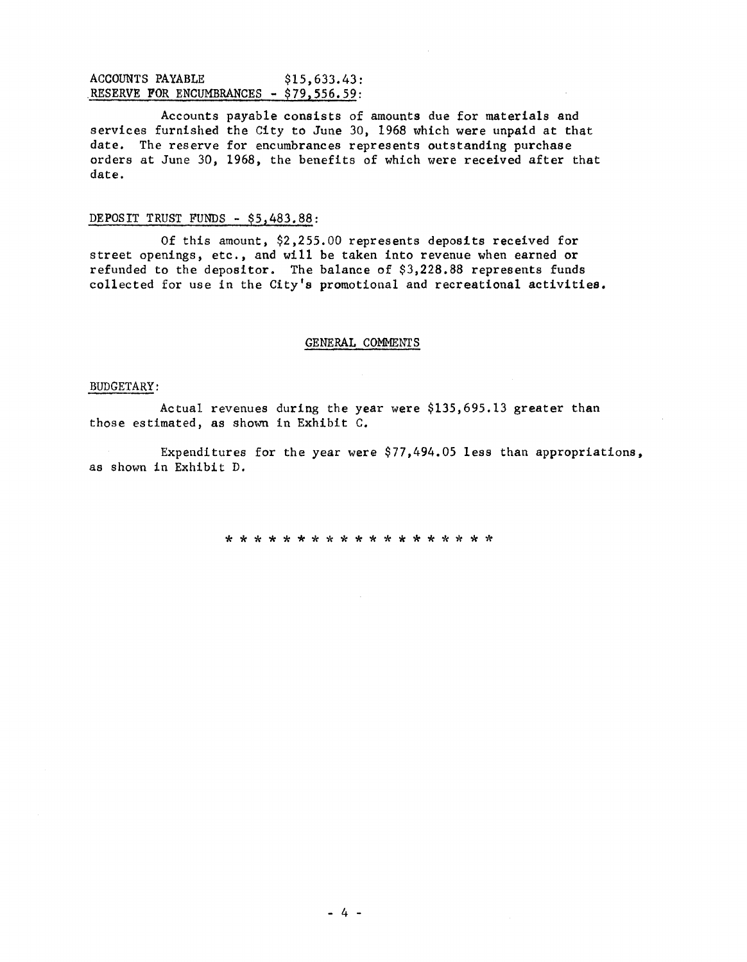#### ACCOUNTS PAYABLE \$15,633.43: RESERVE FOR ENCUMBRANCES - \$79,556.59:

Accounts payable consists of amounts due for materials and services furnished the City to June 30, 1968 which were unpaid at that date. The reserve for encumbrances represents outstanding purchase orders at June 30, 1968, the benefits of which were received after that date.

#### DEPOSIT TRUST FUNDS - \$5,483.88:

Of this amount, \$2,255.00 represents deposits received for street openings, etc., and will be taken into revenue when earned or refunded to the depositor. The balance of  $$3,228.88$  represents funds collected for use in the City's promotional and recreational activities.

#### GENERAL COMMENTS

#### BUDGETARY:

Actual revenues during the year were \$135,695.13 greater than those estimated, as shown in Exhibit C.

Expenditures for the year were \$77,494.05 less than appropriations, as shown in Exhibit D.

\* \* \* \* \* \* \* \* \* \* \* \* \* \* \* \* \* \* \*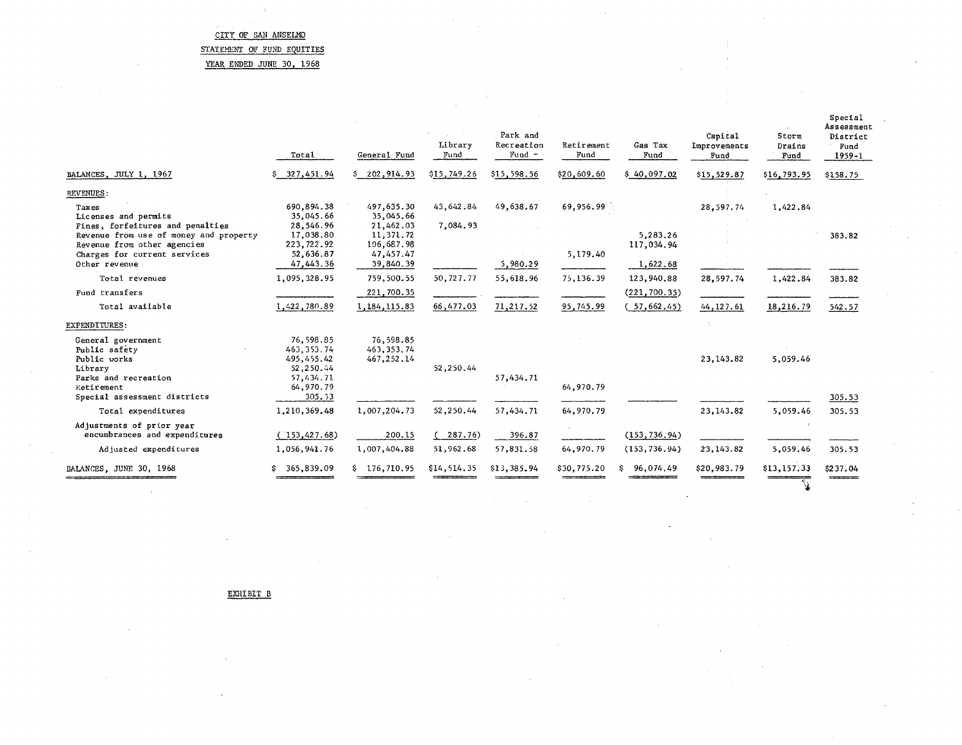### STATEMENT OF FUND EQUITIES

YEAR ENDED JUNE 30, 1968

|                                                                                                                                             | Total                                                                                    | General Fund                            | Library<br>Fund       | Park and<br>Recreation<br>$Fund -$ | Retirement<br>Fund | Gas Tax<br>Fund        | Capital<br>Improvements<br>Fund | Storm<br>Drains<br>Fund | Special<br>Assessment<br>District<br>Fund<br>$1959 - 1$ |
|---------------------------------------------------------------------------------------------------------------------------------------------|------------------------------------------------------------------------------------------|-----------------------------------------|-----------------------|------------------------------------|--------------------|------------------------|---------------------------------|-------------------------|---------------------------------------------------------|
| BALANCES, JULY 1, 1967                                                                                                                      | \$327,451.94                                                                             | \$202,914.93                            | \$15,749.26           | \$15,598.56                        | \$20,609.60        | \$40,097.02            | \$15,529.87                     | \$16,793.95             | \$158.75                                                |
| REVENUES:                                                                                                                                   |                                                                                          |                                         |                       |                                    |                    |                        |                                 |                         |                                                         |
| Taxes<br>Licenses and permits<br>Fines, forfeitures and penalties                                                                           | 690,894.38<br>35,045.66<br>28,546.96                                                     | 497,635.30<br>35,045.66<br>21,462.03    | 43.642.84<br>7,084.93 | 49,638.67                          | 69,956.99          |                        | 28,597.74                       | 1,422.84                |                                                         |
| Revenue from use of money and property<br>Revenue from other agencies<br>Charges for current services                                       | 17,038.80<br>223,722.92<br>52,636.87                                                     | 11,371.72<br>106,687.98<br>47,457.47    |                       |                                    | 5,179.40           | 5,283.26<br>117,034.94 |                                 |                         | 383.82                                                  |
| Other revenue                                                                                                                               | 47,443.36                                                                                | 39,840.39                               |                       | 5,980.29                           |                    | 1,622.68               |                                 |                         |                                                         |
| Total revenues                                                                                                                              | 1,095,328.95                                                                             | 759,500.55                              | 50,727.77             | 55,618.96                          | 75,136.39          | 123,940.88             | 28,597.74                       | 1,422.84                | 383.82                                                  |
| Fund transfers                                                                                                                              |                                                                                          | 221,700.35                              |                       |                                    |                    | (221, 700.35)          |                                 |                         |                                                         |
| Total available                                                                                                                             | 1,422,780.89                                                                             | 1,184,115.83                            | 66,477.03             | 71,217.52                          | 95,745.99          | (57, 662.45)           | 44, 127.61                      | 18,216.79               | 542.57                                                  |
| EXPENDITURES:                                                                                                                               |                                                                                          |                                         |                       |                                    |                    |                        |                                 |                         |                                                         |
| General government<br>Public safety<br>Public works<br>Library<br>Parks and recreation<br><b>Retirement</b><br>Special assessment districts | 76,598.85<br>463, 353, 74<br>495,455.42<br>52,250.44<br>57,434.71<br>64,970.79<br>305.53 | 76,598.85<br>463, 353, 74<br>467.252.14 | 52,250.44             | 57,434.71                          | 64,970.79          |                        | 23, 143.82                      | 5,059.46                | 305.53                                                  |
| Total expenditures                                                                                                                          | 1,210,369.48                                                                             | 1,007,204.73                            | 52,250.44             | 57,434.71                          | 64,970.79          |                        | 23,143.82                       | 5,059.46                | 305.53                                                  |
| Adjustments of prior year<br>encumbrances and expenditures                                                                                  | (153, 427.68)                                                                            | 200.15                                  | (287.76)              | 396.87                             |                    | (153, 736, 94)         |                                 |                         |                                                         |
| Adjusted expenditures                                                                                                                       | 1,056,941.76                                                                             | 1,007,404.88                            | 51,962.68             | 57,831.58                          | 64,970.79          | (153, 736.94)          | 23, 143.82                      | 5,059.46                | 305.53                                                  |
| BALANCES, JUNE 30, 1968                                                                                                                     | 365,839.09<br>s.                                                                         | \$176.710.95                            | \$14,514.35           | \$13,385.94                        | \$30,775.20        | 96,074.49<br>s         | \$20,983.79                     | \$13,157.33             | \$237.04                                                |

EXHIBIT B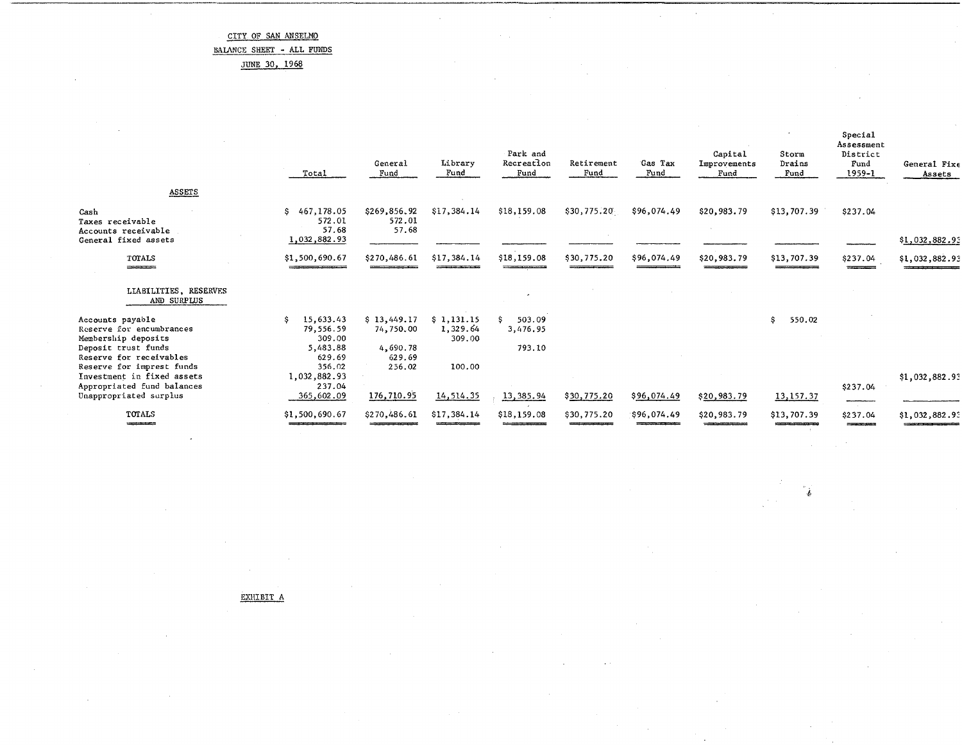BAlANCE SHEET - ALL FUNDS

JUNE 30, 1968

|                                                                                                                       | Total                                                        | General<br>Fund                                                                                                                                                                                                                                      | Library<br>Fund                  | Park and<br>Recreation<br>Fund | Retirement<br>Fund                                     | Gas Tax<br>Fund | Capital<br>Improvements<br>Fund    | Storm<br>Drains<br>Fund                   | Special<br>Assessment<br>District<br>Fund<br>1959-1       | General Fixe<br>Assets                                                                                                         |
|-----------------------------------------------------------------------------------------------------------------------|--------------------------------------------------------------|------------------------------------------------------------------------------------------------------------------------------------------------------------------------------------------------------------------------------------------------------|----------------------------------|--------------------------------|--------------------------------------------------------|-----------------|------------------------------------|-------------------------------------------|-----------------------------------------------------------|--------------------------------------------------------------------------------------------------------------------------------|
| ASSETS                                                                                                                |                                                              |                                                                                                                                                                                                                                                      |                                  |                                |                                                        |                 |                                    |                                           |                                                           |                                                                                                                                |
| Cash<br>Taxes receivable<br>Accounts receivable<br>General fixed assets                                               | 467,178.05<br>S.<br>572.01<br>57.68<br>1,032,882.93          | \$269,856.92<br>572.01<br>57.68                                                                                                                                                                                                                      | \$17,384.14                      | \$18,159.08                    | \$30,775.20                                            | \$96,074.49     | \$20,983.79                        | \$13,707.39                               | \$237.04                                                  | \$1,032,882.93                                                                                                                 |
|                                                                                                                       |                                                              |                                                                                                                                                                                                                                                      |                                  |                                |                                                        |                 |                                    |                                           |                                                           |                                                                                                                                |
| TOTALS<br>-----------                                                                                                 | \$1,500,690.67<br><b>CONTRACTOR</b> CONTRACTOR               | \$270,486.61                                                                                                                                                                                                                                         | \$17,384.14                      | \$18,159.08                    | \$30,775.20                                            | \$96,074.49     | \$20,983.79                        | \$13,707.39                               | \$237.04<br><b>The Committee of Street, The Committee</b> | \$1,032,882.93                                                                                                                 |
| LIABILITIES, RESERVES<br>AND SURPLUS                                                                                  |                                                              |                                                                                                                                                                                                                                                      |                                  |                                |                                                        |                 |                                    |                                           |                                                           |                                                                                                                                |
| Accounts payable<br>Reserve for encumbrances<br>Membership deposits<br>Deposit trust funds<br>Reserve for receivables | 15,633.43<br>.s<br>79,556.59<br>309.00<br>5,483.88<br>629.69 | \$13,449.17<br>74,750.00<br>4,690.78<br>629.69                                                                                                                                                                                                       | \$1,131.15<br>1,329.64<br>309.00 | 503.09<br>3,476.95<br>793.10   |                                                        |                 |                                    | 550.02<br>S.                              |                                                           |                                                                                                                                |
| Reserve for imprest funds<br>Investment in fixed assets<br>Appropriated fund balances<br>Unappropriated surplus       | 356.02<br>1,032,882.93<br>237.04<br>365,602.09               | 256.02<br>176,710.95                                                                                                                                                                                                                                 | 100.00<br>14,514.35              | 13, 385.94                     | \$30,775.20                                            | \$96,074.49     | \$20,983.79                        | 13, 157. 37                               | \$237.04                                                  | \$1,032,882.93                                                                                                                 |
| TOTALS<br>-------                                                                                                     | \$1,500,690.67                                               | \$270,486.61<br><u> 1970 - Johann Amerikaanse Staatsburg van die Staatsburg van die Staatsburg van die Staatsburg van die Staatsburg van die Staatsburg van die Staatsburg van die Staatsburg van die Staatsburg van die Staatsburg van die Staa</u> | \$17,384.14                      | \$18,159.08                    | \$30,775.20<br><b>Commission Commission Commission</b> | \$96,074.49     | \$20,983.79<br>___________________ | \$13,707.39<br>10000000000000000000000000 | ----------<br>\$237.04<br>------                          | \$1,032,882.93<br>and the control of the control of the control of the control of the control of the control of the control of |

**,j.** 

EXHIBIT A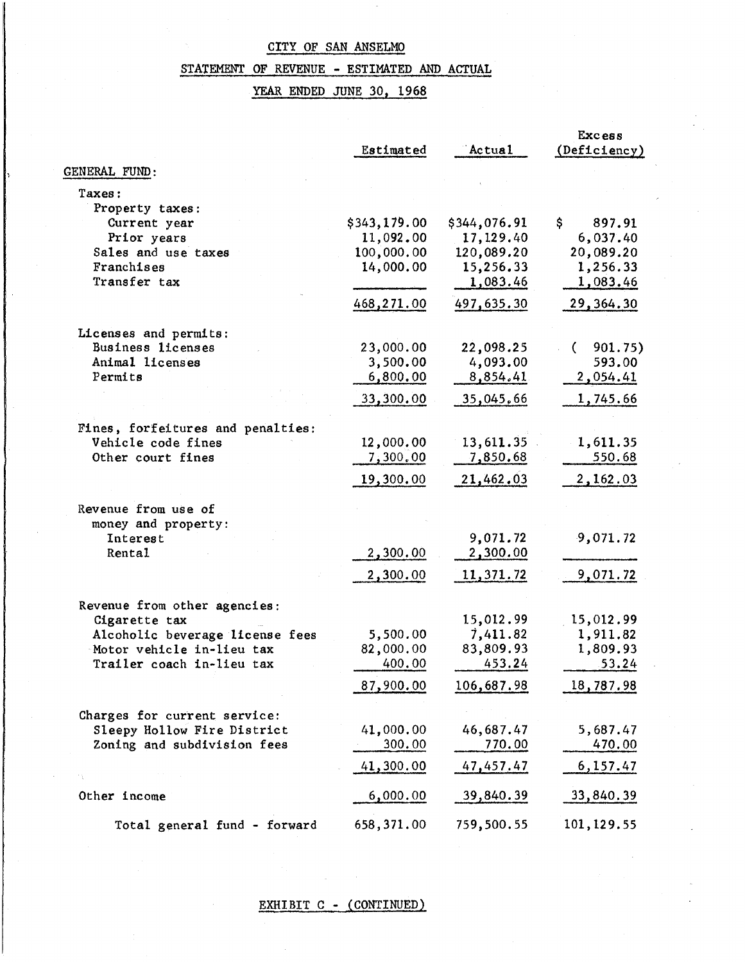# STATEMENT OF REVENUE - ESTIMATED AND ACTUAL

## YEAR ENDED JUNE 30, 1968

|                                    |                         |                         | <b>Excess</b>         |
|------------------------------------|-------------------------|-------------------------|-----------------------|
|                                    | Estimated               | Actual                  | (Deficiency)          |
| GENERAL FUND:                      |                         |                         |                       |
|                                    |                         |                         |                       |
| Taxes:                             |                         |                         |                       |
| Property taxes:                    |                         |                         | \$.                   |
| Current year                       | \$343,179.00            | \$344,076.91            | 897.91                |
| Prior years<br>Sales and use taxes | 11,092.00<br>100,000.00 | 17,129.40<br>120,089.20 | 6,037.40<br>20,089.20 |
| Franchises                         | 14,000.00               | 15,256.33               | 1,256.33              |
| Transfer tax                       |                         | 1,083.46                | 1,083.46              |
|                                    |                         |                         |                       |
|                                    | 468,271.00              | 497,635.30              | 29, 364.30            |
| Licenses and permits:              |                         |                         |                       |
| Business licenses                  | 23,000.00               | 22,098.25               | 901.75)<br>€          |
| Animal licenses                    | 3,500.00                | 4,093.00                | 593.00                |
| Permits                            | 6,800.00                | 8,854.41                | 2,054.41              |
|                                    | 33,300.00               | 35,045,66               | 1,745.66              |
|                                    |                         |                         |                       |
| Fines, forfeitures and penalties:  |                         |                         |                       |
| Vehicle code fines                 | 12,000.00               | 13,611.35               | 1,611.35              |
| Other court fines                  | 7,300.00                | 7,850.68                | 550.68                |
|                                    | 19,300.00               | 21,462.03               | 2,162.03              |
| Revenue from use of                |                         |                         |                       |
| money and property:                |                         |                         |                       |
| Interest                           |                         | 9,071.72                | 9,071.72              |
| Rental                             | 2,300.00                | 2,300.00                |                       |
|                                    | 2,300.00                | 11,371.72               | 9,071.72              |
|                                    |                         |                         |                       |
| Revenue from other agencies:       |                         |                         |                       |
| Cigarette tax                      |                         | 15,012.99               | 15,012.99             |
| Alcoholic beverage license fees    | 5,500.00                | 7,411.82                | 1,911.82              |
| Motor vehicle in-lieu tax          | 82,000.00               | 83,809.93               | 1,809.93              |
| Trailer coach in-lieu tax          | 400.00                  | 453.24                  | 53.24                 |
|                                    | 87,900.00               | 106,687.98              | <u>18,787.98</u>      |
| Charges for current service:       |                         |                         |                       |
| Sleepy Hollow Fire District        | 41,000.00               | 46,687.47               | 5,687.47              |
| Zoning and subdivision fees        | 300.00                  | <u>770.00</u>           | 470.00                |
|                                    | 41,300.00               | 47,457.47               | 6,157.47              |
|                                    |                         |                         |                       |
| Other income                       | 6,000.00                | <u>39,840.39</u>        | 33,840.39             |
| Total general fund - forward       | 658,371.00              | 759,500.55              | 101, 129.55           |

### EXHIBIT C - (CONTINUED)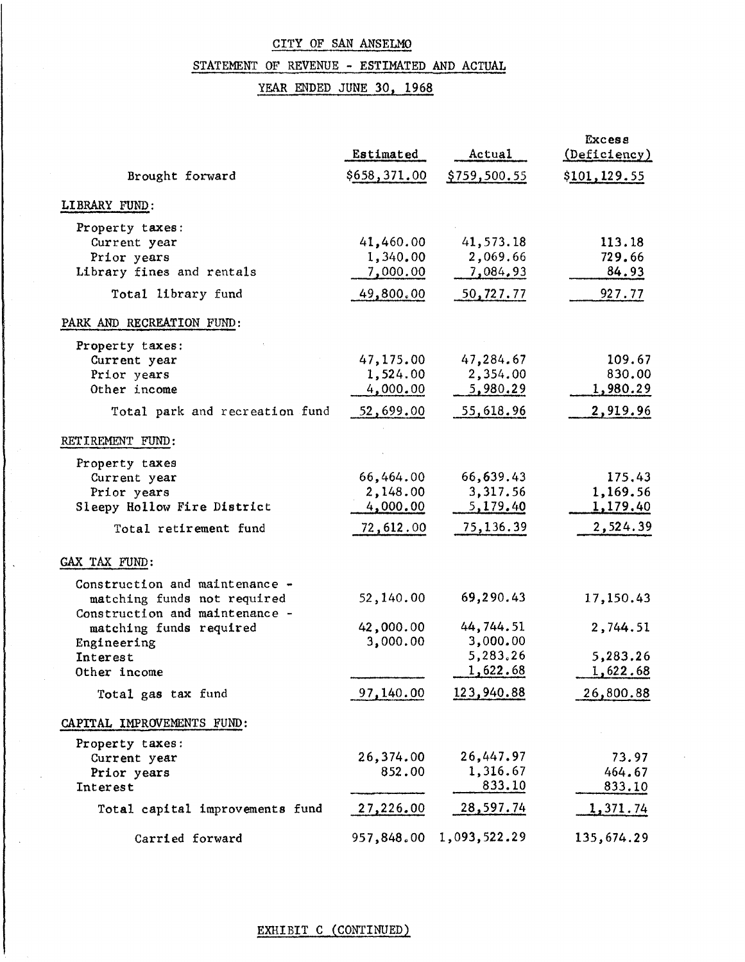## STATEMENT OF REVENUE - ESTIMATED AND ACTUAL

YEAR ENDED JUNE 30, 1968

|                                 | Estimated    | Actual       | Excess<br>(Deficiency) |
|---------------------------------|--------------|--------------|------------------------|
| Brought forward                 | \$658,371.00 | \$759,500.55 | \$101,129.55           |
| LIBRARY FUND:                   |              |              |                        |
| Property taxes:                 |              |              |                        |
| Current year                    | 41,460.00    | 41,573.18    | 113.18                 |
| Prior years                     | 1,340.00     | 2,069.66     | 729.66                 |
| Library fines and rentals       | 7,000.00     | 7,084,93     | 84.93                  |
| Total library fund              | 49,800.00    | 50,727.77    | 927.77                 |
| PARK AND RECREATION FUND:       |              |              |                        |
| Property taxes:                 |              |              |                        |
| Current year                    | 47,175.00    | 47,284.67    | 109.67                 |
| Prior years                     | 1,524.00     | 2,354.00     | 830.00                 |
| Other income                    | 4,000.00     | 5,980.29     | 1,980.29               |
| Total park and recreation fund  | 52,699.00    | 55,618.96    | 2,919.96               |
| RETIREMENT FUND:                |              |              |                        |
| Property taxes                  |              |              |                        |
| Current year                    | 66,464.00    | 66,639.43    | 175.43                 |
| Prior years                     | 2,148.00     | 3,317.56     | 1,169.56               |
| Sleepy Hollow Fire District     | 4,000.00     | 5,179.40     | 1,179.40               |
| Total retirement fund           | 72,612.00    | 75,136.39    | 2,524.39               |
| GAX TAX FUND:                   |              |              |                        |
| Construction and maintenance -  |              |              |                        |
| matching funds not required     | 52,140.00    | 69,290.43    | 17,150.43              |
| Construction and maintenance -  |              |              |                        |
| matching funds required         | 42,000.00    | 44,744.51    | 2,744.51               |
| Engineering                     | 3,000.00     | 3,000.00     |                        |
| Interest                        |              | 5,283.26     | 5,283.26               |
| Other income                    |              | 1,622.68     | 1,622.68               |
| Total gas tax fund              | 97,140.00    | 123,940.88   | 26,800.88              |
| CAPITAL IMPROVEMENTS FUND:      |              |              |                        |
|                                 |              |              |                        |
| Property taxes:                 |              | 26,447.97    |                        |
| Current year                    | 26,374.00    |              | 73.97                  |
| Prior years                     | 852.00       | 1,316.67     | 464.67                 |
| Interest                        |              | 833.10       | 833.10                 |
| Total capital improvements fund | 27,226.00    | 28,597.74    | 1,371.74               |
| Carried forward                 | 957,848.00   | 1,093,522.29 | 135,674.29             |

 $\ddot{\phantom{1}}$ 

 $\sim$ 

### EXHIBIT C (CONTINUED)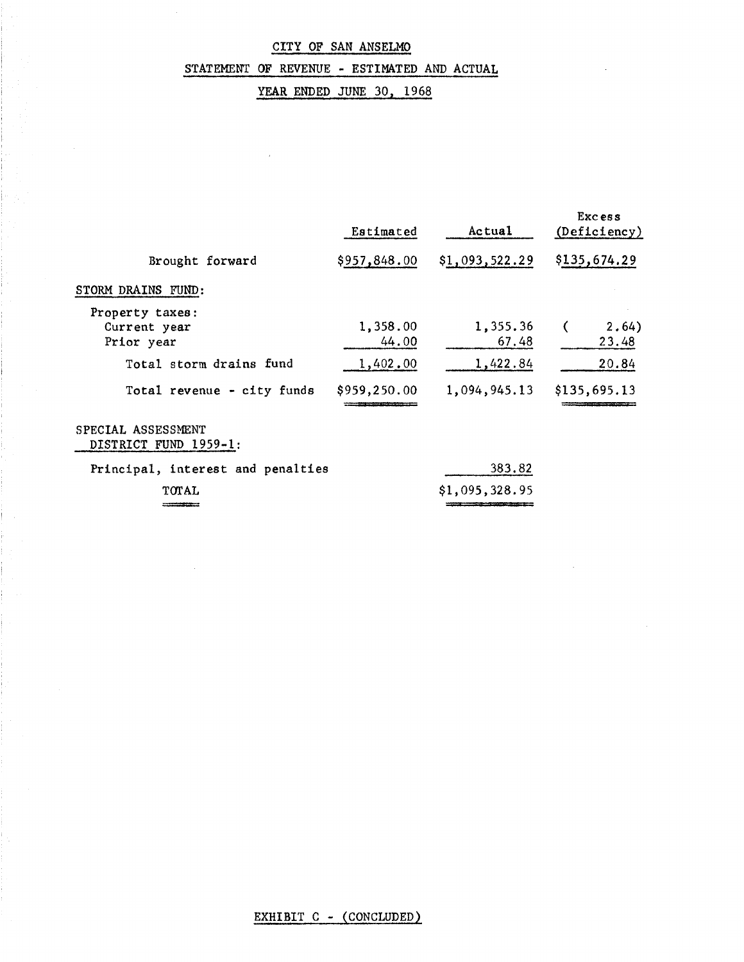### STATEMENT OF REVENUE - ESTIMATED AND ACTUAL

# YEAR ENDED JUNE 30, 1968

|                                               | Estimated         | Actual            | Excess<br>(Deficiency) |
|-----------------------------------------------|-------------------|-------------------|------------------------|
| Brought forward                               | \$957,848.00      | \$1,093,522.29    | \$135,674.29           |
| STORM DRAINS FUND:                            |                   |                   |                        |
| Property taxes:<br>Current year<br>Prior year | 1,358.00<br>44.00 | 1,355.36<br>67.48 | 2.64)<br>23.48         |
| Total storm drains fund                       | 1,402.00          | 1,422.84          | 20.84                  |
| Total revenue - city funds                    | \$959,250.00      | 1,094,945.13      | \$135,695.13           |
| SPECIAL ASSESSMENT<br>DISTRICT FUND 1959-1:   |                   |                   |                        |
| Principal, interest and penalties             |                   | 383.82            |                        |
| TOTAL                                         |                   | \$1,095,328.95    |                        |
|                                               |                   |                   |                        |